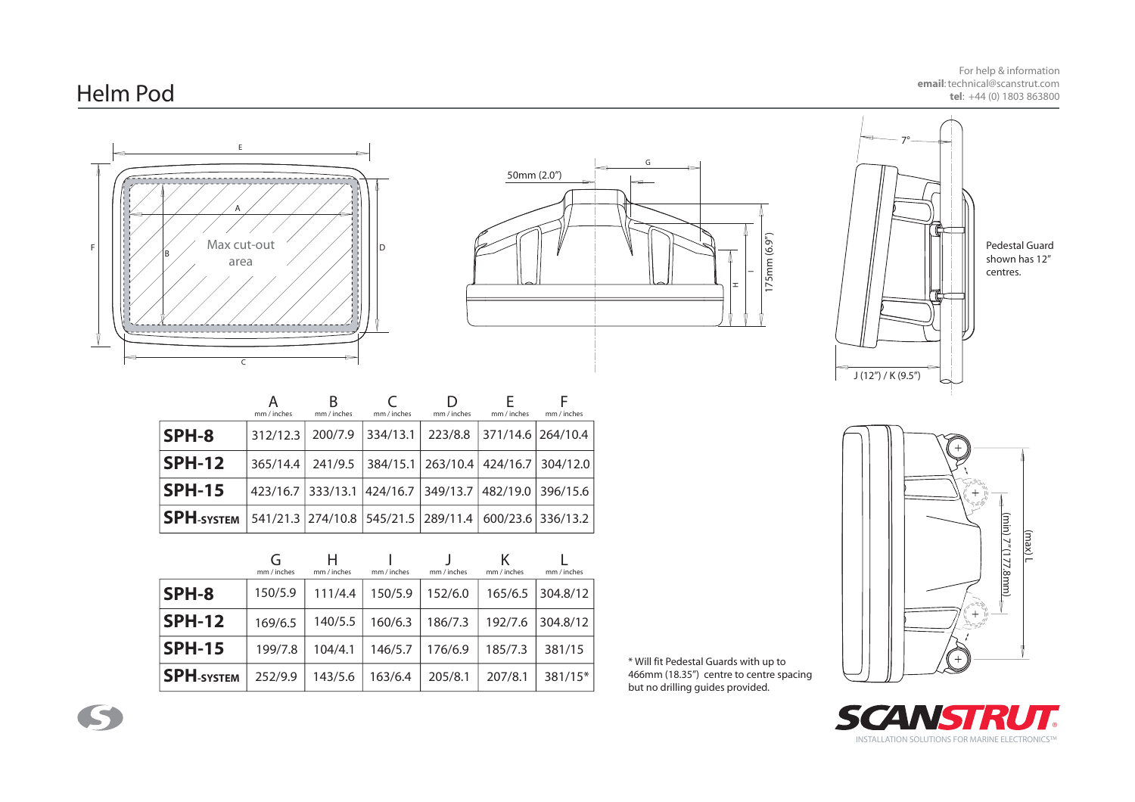## Helm Pod

For help & information **email**: technical@scanstrut.com**tel**: +44 (0) 1803 863800

> Pedestal Guard shown has 12" centres.





|                                                                                      | mm / inches | в<br>mm / inches | mm / inches | Ð<br>mm / inches                                      | mm / inches | mm / inches |
|--------------------------------------------------------------------------------------|-------------|------------------|-------------|-------------------------------------------------------|-------------|-------------|
| <b>SPH-8</b>                                                                         |             |                  |             | 312/12.3 200/7.9 334/13.1 223/8.8 371/14.6 264/10.4   |             |             |
| <b>SPH-12</b>                                                                        |             |                  |             | 365/14.4 241/9.5 384/15.1 263/10.4 424/16.7 304/12.0  |             |             |
| <b>SPH-15</b>                                                                        |             |                  |             | 423/16.7 333/13.1 424/16.7 349/13.7 482/19.0 396/15.6 |             |             |
| $\vert$ SPH-system   541/21.3   274/10.8   545/21.5   289/11.4   600/23.6   336/13.2 |             |                  |             |                                                       |             |             |

|                   | mm / inches | н<br>mm / inches | mm / inches | mm / inches | mm / inches | mm / inches |
|-------------------|-------------|------------------|-------------|-------------|-------------|-------------|
| SPH-8             | 150/5.9     | 111/4.4          | 150/5.9     | 152/6.0     | 165/6.5     | 304.8/12    |
| <b>SPH-12</b>     | 169/6.5     | 140/5.5          | 160/6.3     | 186/7.3     | 192/7.6     | 304.8/12    |
| <b>SPH-15</b>     | 199/7.8     | 104/4.1          | 146/5.7     | 176/6.9     | 185/7.3     | 381/15      |
| <b>SPH-SYSTEM</b> | 252/9.9     | 143/5.6          | 163/6.4     | 205/8.1     | 207/8.1     | 381/15*     |

\* Will fit Pedestal Guards with up to 466mm (18.35") centre to centre spacing but no drilling guides provided.